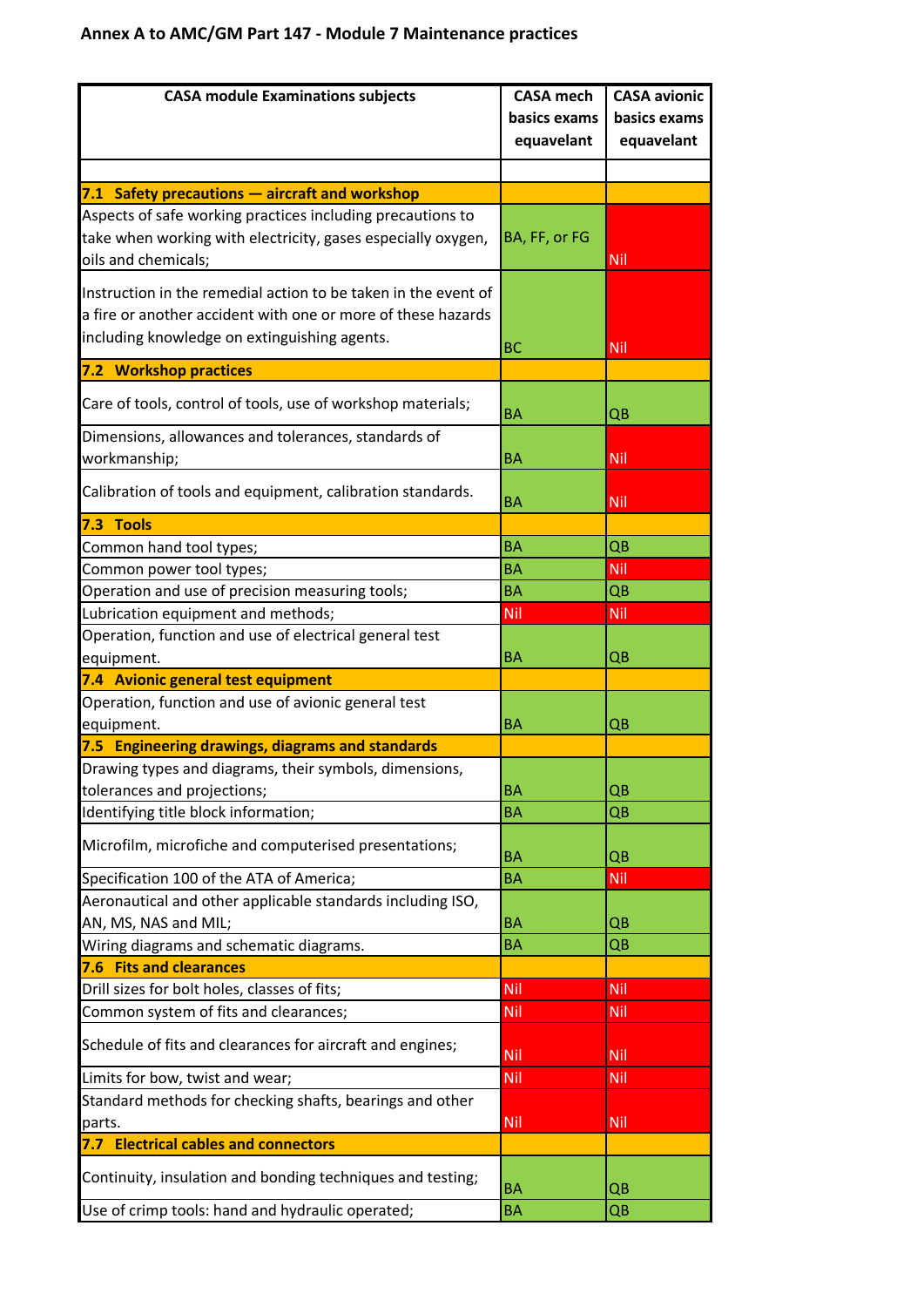## **Annex A to AMC/GM Part 147 - Module 7 Maintenance practices**

| <b>CASA module Examinations subjects</b>                                           | <b>CASA</b> mech | <b>CASA avionic</b> |
|------------------------------------------------------------------------------------|------------------|---------------------|
|                                                                                    | basics exams     | basics exams        |
|                                                                                    | equavelant       | equavelant          |
|                                                                                    |                  |                     |
| 7.1 Safety precautions - aircraft and workshop                                     |                  |                     |
| Aspects of safe working practices including precautions to                         |                  |                     |
| take when working with electricity, gases especially oxygen,                       | BA, FF, or FG    |                     |
| oils and chemicals;                                                                |                  | Nil                 |
|                                                                                    |                  |                     |
| Instruction in the remedial action to be taken in the event of                     |                  |                     |
| a fire or another accident with one or more of these hazards                       |                  |                     |
| including knowledge on extinguishing agents.                                       | <b>BC</b>        | Nil                 |
| 7.2 Workshop practices                                                             |                  |                     |
| Care of tools, control of tools, use of workshop materials;                        |                  |                     |
|                                                                                    | <b>BA</b>        | QB                  |
| Dimensions, allowances and tolerances, standards of                                |                  |                     |
| workmanship;                                                                       | BA               | Nil                 |
| Calibration of tools and equipment, calibration standards.                         |                  |                     |
|                                                                                    | <b>BA</b>        | Nil                 |
| 7.3 Tools                                                                          |                  |                     |
| Common hand tool types;                                                            | <b>BA</b>        | QB                  |
| Common power tool types;                                                           | <b>BA</b>        | Nil                 |
| Operation and use of precision measuring tools;                                    | <b>BA</b>        | QB                  |
| Lubrication equipment and methods;                                                 | Nil              | Nil                 |
| Operation, function and use of electrical general test                             |                  |                     |
| equipment.                                                                         | <b>BA</b>        | QΒ                  |
| 7.4 Avionic general test equipment                                                 |                  |                     |
| Operation, function and use of avionic general test                                |                  |                     |
| equipment.                                                                         | <b>BA</b>        | QΒ                  |
| 7.5 Engineering drawings, diagrams and standards                                   |                  |                     |
| Drawing types and diagrams, their symbols, dimensions,                             |                  |                     |
| tolerances and projections;                                                        | <b>BA</b>        | QB                  |
| Identifying title block information;                                               | <b>BA</b>        | QΒ                  |
| Microfilm, microfiche and computerised presentations;                              |                  |                     |
|                                                                                    | BA<br><b>BA</b>  | QB<br>Nil           |
| Specification 100 of the ATA of America;                                           |                  |                     |
| Aeronautical and other applicable standards including ISO,<br>AN, MS, NAS and MIL; |                  |                     |
| Wiring diagrams and schematic diagrams.                                            | ΒA<br><b>BA</b>  | QΒ<br>QB            |
| <b>7.6 Fits and clearances</b>                                                     |                  |                     |
| Drill sizes for bolt holes, classes of fits;                                       | Nil              | Nil                 |
| Common system of fits and clearances;                                              | Nil              | Nil                 |
|                                                                                    |                  |                     |
| Schedule of fits and clearances for aircraft and engines;                          | Nil              | Nil                 |
| Limits for bow, twist and wear;                                                    | Nil              | Nil                 |
| Standard methods for checking shafts, bearings and other                           |                  |                     |
| parts.                                                                             | Nil              | Nil                 |
| <b>Electrical cables and connectors</b><br>7.7 .                                   |                  |                     |
| Continuity, insulation and bonding techniques and testing;                         | <b>BA</b>        | QΒ                  |
|                                                                                    | <b>BA</b>        |                     |
| Use of crimp tools: hand and hydraulic operated;                                   |                  | QB                  |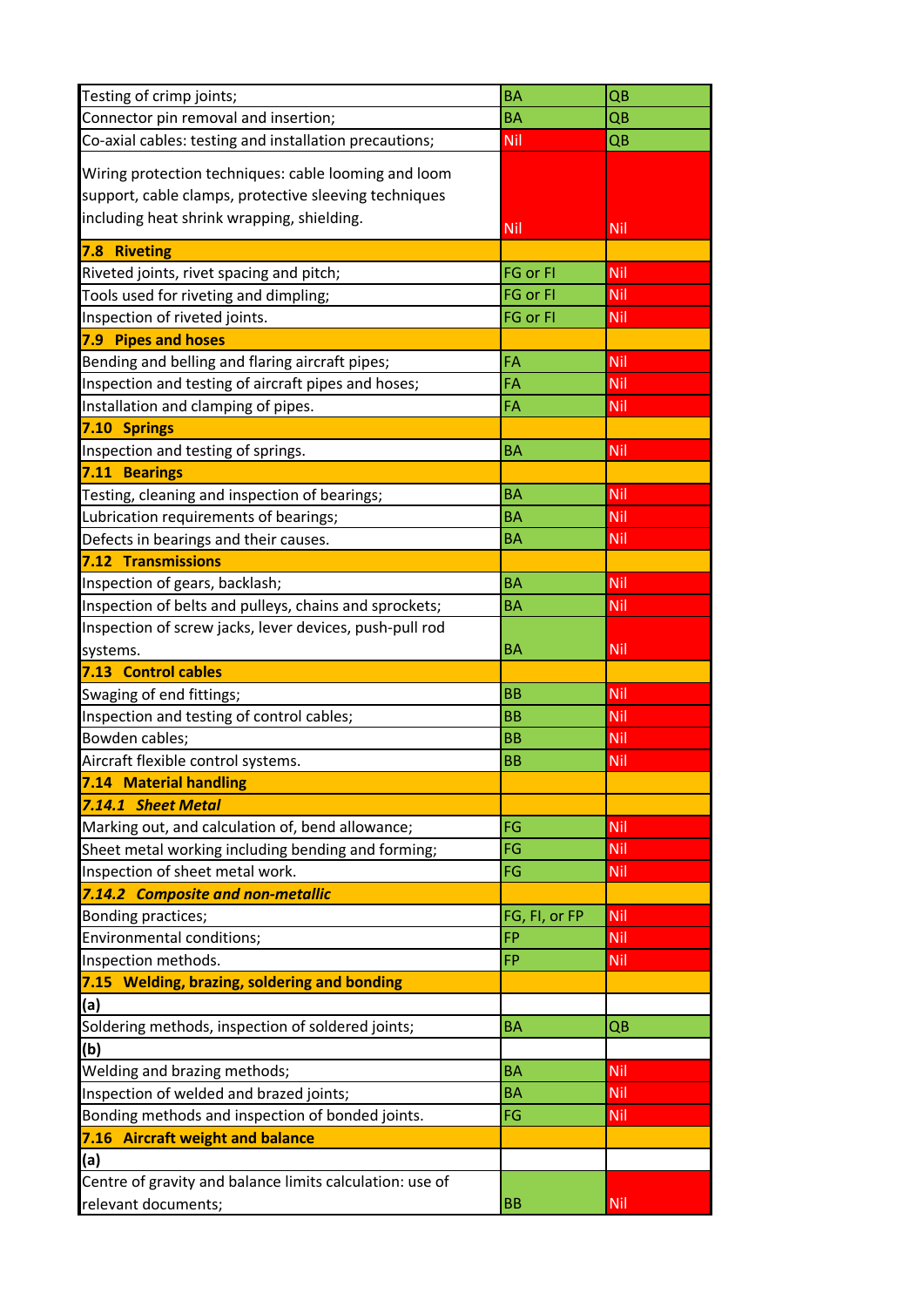| Testing of crimp joints;                                 | <b>BA</b>     | QB         |
|----------------------------------------------------------|---------------|------------|
| Connector pin removal and insertion;                     | <b>BA</b>     | QB         |
| Co-axial cables: testing and installation precautions;   | Nil           | QB         |
| Wiring protection techniques: cable looming and loom     |               |            |
| support, cable clamps, protective sleeving techniques    |               |            |
| including heat shrink wrapping, shielding.               |               |            |
|                                                          | Nil           | Nil        |
| 7.8 Riveting                                             |               |            |
| Riveted joints, rivet spacing and pitch;                 | FG or FI      | Nil        |
| Tools used for riveting and dimpling;                    | FG or FI      | Nil        |
| Inspection of riveted joints.                            | FG or FI      | Nil        |
| 7.9 Pipes and hoses                                      |               |            |
| Bending and belling and flaring aircraft pipes;          | FA            | Nil        |
| Inspection and testing of aircraft pipes and hoses;      | FA            | Nil        |
| Installation and clamping of pipes.                      | FA            | Nil        |
| 7.10 Springs                                             |               |            |
| Inspection and testing of springs.                       | <b>BA</b>     | <b>Nil</b> |
| 7.11 Bearings                                            |               |            |
| Testing, cleaning and inspection of bearings;            | <b>BA</b>     | Nil        |
| Lubrication requirements of bearings;                    | BA            | Nil        |
| Defects in bearings and their causes.                    | <b>BA</b>     | <b>Nil</b> |
| 7.12 Transmissions                                       |               |            |
| Inspection of gears, backlash;                           | <b>BA</b>     | Nil        |
| Inspection of belts and pulleys, chains and sprockets;   | BA            | <b>Nil</b> |
| Inspection of screw jacks, lever devices, push-pull rod  |               |            |
| systems.                                                 | BA            | Nil        |
| 7.13 Control cables                                      |               |            |
| Swaging of end fittings;                                 | <b>BB</b>     | Nil        |
| Inspection and testing of control cables;                | <b>BB</b>     | Nil        |
| Bowden cables;                                           | <b>BB</b>     | Nil        |
| Aircraft flexible control systems.                       | <b>BB</b>     | Nil        |
| 7.14 Material handling                                   |               |            |
| 7.14.1 Sheet Metal                                       |               |            |
| Marking out, and calculation of, bend allowance;         | FG            | Nil        |
| Sheet metal working including bending and forming;       | FG            | Nil        |
| Inspection of sheet metal work.                          | FG            | Nil        |
| 7.14.2 Composite and non-metallic                        |               |            |
| Bonding practices;                                       | FG, FI, or FP | Nil        |
| Environmental conditions;                                | <b>FP</b>     | Nil        |
| Inspection methods.                                      | FP            | Nil        |
| 7.15 Welding, brazing, soldering and bonding             |               |            |
| (a)                                                      |               |            |
| Soldering methods, inspection of soldered joints;        | BA            | QB         |
| (b)                                                      |               |            |
| Welding and brazing methods;                             | BA            | <b>Nil</b> |
|                                                          | BA            | Nil        |
| Inspection of welded and brazed joints;                  |               |            |
| Bonding methods and inspection of bonded joints.         | FG            | Nil        |
| 7.16 Aircraft weight and balance                         |               |            |
| (a)                                                      |               |            |
| Centre of gravity and balance limits calculation: use of |               |            |
| relevant documents;                                      | BB            | <b>Nil</b> |